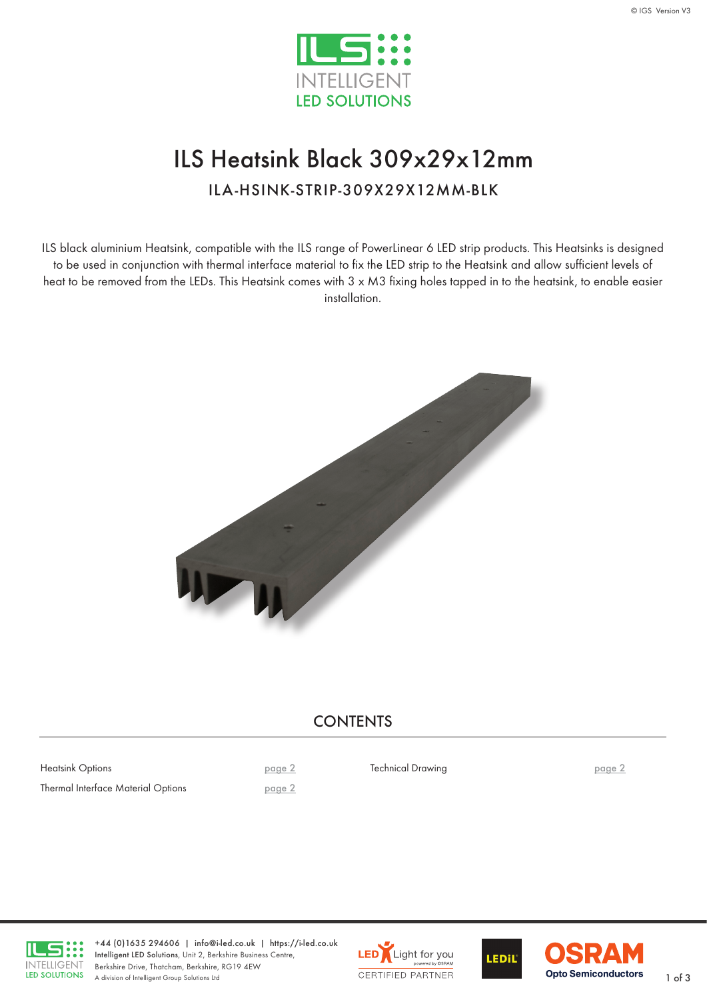

# ILS Heatsink Black 309x29x12mm

ILA-HSINK-STRIP-309X29X12MM-BLK

ILS black aluminium Heatsink, compatible with the ILS range of PowerLinear 6 LED strip products. This Heatsinks is designed to be used in conjunction with thermal interface material to fix the LED strip to the Heatsink and allow sufficient levels of heat to be removed from the LEDs. This Heatsink comes with 3 x M3 fixing holes tapped in to the heatsink, to enable easier installation.



### **CONTENTS**

Heatsink Options **[page 2](#page-1-0)** Thermal Interface Material Options [page 2](#page-1-0)

Technical Drawing **Page 2 [page](#page-1-0) 2** 



+44 (0)1635 294606 | [info@i-led.co.uk](mailto:info@i-led.co.uk) | <https://i-led.co.uk> Intelligent LED Solutions, Unit 2, Berkshire Business Centre, Berkshire Drive, Thatcham, Berkshire, RG19 4EW Berkshire Drive, Ihatcham, Berkshire, RG19 4EW<br>A division of Intelligent Group Solutions Ltd 1 of 3





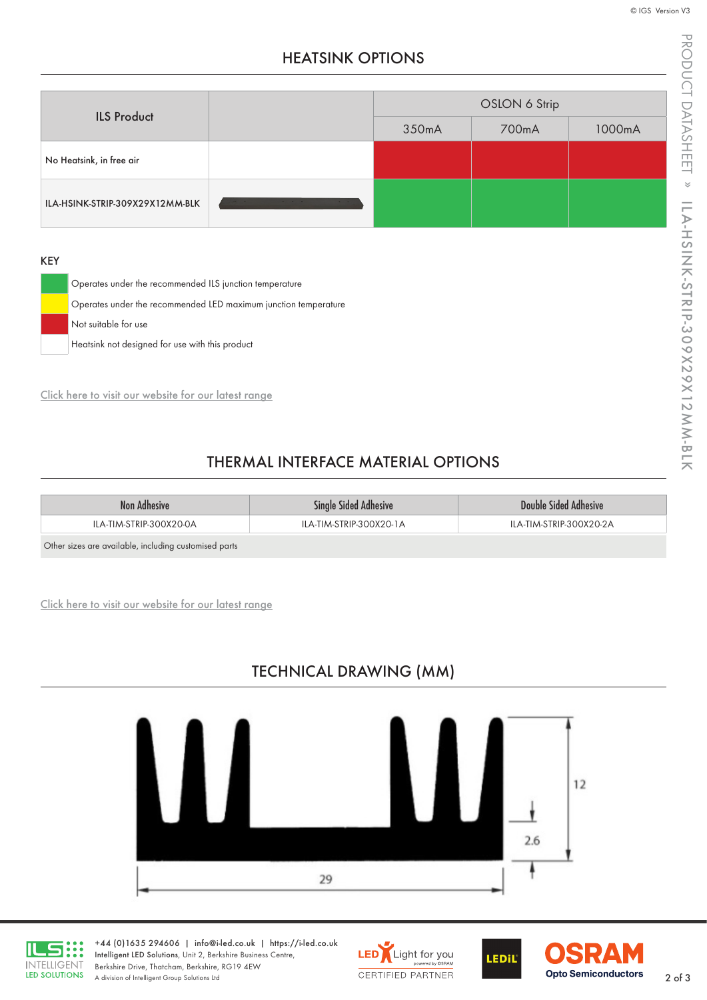PRODUCT DATASHEET PRODUCT DATASHEET » ILA-HSINK-STRIP-309X29X12MM-BLK ILA-HSINK-STRIP-309X29X12MM-BLK

## HEATSINK OPTIONS

<span id="page-1-0"></span>

| <b>ILS Product</b>              |                         | OSLON 6 Strip |       |        |
|---------------------------------|-------------------------|---------------|-------|--------|
|                                 |                         | 350mA         | 700mA | 1000mA |
| No Heatsink, in free air        |                         |               |       |        |
| ILA-HSINK-STRIP-309X29X12MM-BLK | the control of the con- |               |       |        |

#### KEY

| Operates under the recommended ILS junction temperature         |
|-----------------------------------------------------------------|
| Operates under the recommended LED maximum junction temperature |
| Not suitable for use                                            |
| Heatsink not designed for use with this product                 |

[Click here to visit our website for our latest range](https://i-led.co.uk/Essential-LED-Accessories/Thermal.php)

### THERMAL INTERFACE MATERIAL OPTIONS

| Non Adhesive                                          | <b>Single Sided Adhesive</b> | Double Sided Adhesive   |
|-------------------------------------------------------|------------------------------|-------------------------|
| ILA-TIM-STRIP-300X20-0A                               | ILA-TIM-STRIP-300X20-1A      | ILA-TIM-STRIP-300X20-2A |
| Other sizes are available, including customised parts |                              |                         |

[Click here to visit our website for our latest range](https://i-led.co.uk/Essential-LED-Accessories/TIM.php)

# TECHNICAL DRAWING (MM)





+44 (0)1635 294606 | [info@i-led.co.uk](mailto:info@i-led.co.uk) | <https://i-led.co.uk> Intelligent LED Solutions, Unit 2, Berkshire Business Centre, Berkshire Drive, Thatcham, Berkshire, RG19 4EW Berkshire Drive, Ihatcham, Berkshire, RG19 4EW<br>A division of Intelligent Group Solutions Ltd 2 of 3